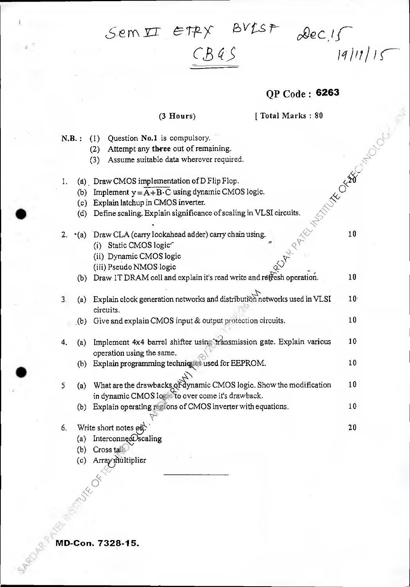$Sem\,\text{I\!I}$   $\in$  TPY  $BVIST$   $\text{J\!e}$   $\text{J\!e}$ 

## $CB$

### QP Code **6263**

### (3 Hours) [ Total Marks : 80

N.B.: (1) Question No.1 is compulsory. (2) Attempt any three out of remaining. (3) Assume suitable data wherever required. I. (a) Draw CMOS implementation of D Flip Flop. (b) Implement  $y = A + B \cdot C$  using dynamic CMOS logic. -c:c• Explain latchup in CMOS inverter. (c) Explain latchup in CMOS inverter. (d) Define scaling. Explain significance of scaling in VLSI circuits.  $\sim$ 2.  $\cdot$  (a) Draw CLA (carry lookahead adder) carry chain using. (i) Static CMOS logic' (ii) Dynamic CMOS logic (iii) Pseudo NMOS logic **-**  (b) Draw IT DRAM cell and explain it's read write and refresh operation. 3. (a) Explain clock generation networks and distribution networks used in VLSI 10 circuits. (b) Give and explain CMOS input & output protection circuits.  $10$ 4. (a) Implement 4x4 barrel shifter using transmission gate. Explain various 10 operation using the same. (b) Explain programming techniques used for EEPROM. 10  $\frac{1}{2}$ 10  $\mathsf S$ (a) What are the drawbacks of dynamic CMOS logic. Show the modification in dynamic CMOS log to over come it's drawback. (b) Explain operating regions of CMOS inverter with equations.  $10$ 6. Write short notes  $\varphi \vec{\mathfrak{n}}$ . 20 (a) Interconnect scaling (b) Cross  $tal$ . (c) Array multiplier  $\tilde{\sim}$ 

**MD-Con. 7328-15.** 

 $\ll$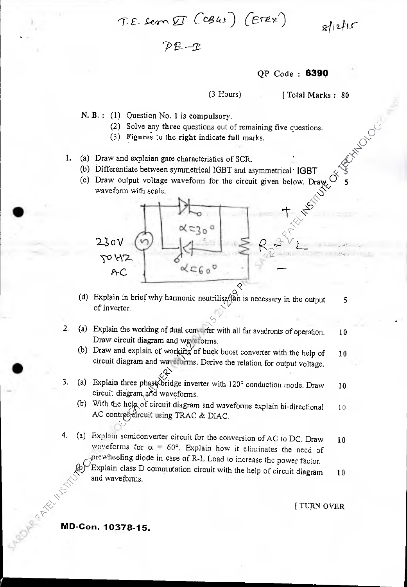*E- Sem*  $\text{IF } (c\beta 43)$  *(ETRX)*  $\beta |12|15$ 

*P --T-*

QP Code : **6390** 

(3 Hours) [ Total Marks : 80 + or contractor

**145)** 

 $\mathbb{X}^{\mathbb{Z}}$  $\delta^7$ 

N. B. : (1) Question No. 1 is compulsory.

- (2) Solve any three questions out of remaining five questions.
- (3) Figures to the right indicate full marks.
- 1. (a) Draw and explaian gate characteristics of SCR.
	- (b) Differentiate between symmetrical IGBT and asymmetrical 'IGBT
	- (c) Draw output voltage waveform for the circuit given below. Draw  $\sigma$  5 waveform with scale.

(d) Explain in brief why harmonic neutrilis  $\alpha$  is necessary in the output 5 of inverter.

 $\propto$   $50^\circ$ 

- 2. (a) Explain the working of dual converter with all far avadronts of operation.  $10$ Draw circuit diagram and waveforms.
	- (b) Draw and explain of working of buck boost converter with the help of  $10$ circuit diagram and wave turns. Derive the relation for output voltage.
- 3. (a) Explain three phase bridge inverter with 120 $^{\circ}$  conduction mode. Draw 10 circuit diagram and waveforms.
	- (b) With the help of circuit diagram and waveforms explain bi-directional 10 AC contrel eircuit using TRAC & DIAC.
- 4. (a) Explain semiconverter circuit for the conversion of AC to DC. Draw  $10$ waveforms for  $\alpha = 60^{\circ}$ . Explain how it eliminates the need of prewheeling diode in case of R-L Load to increase the power factor.

Explain class D commutation circuit with the help of circuit diagram  $10$  and waveforms.

[ TURN OVER

# ROAMA PRICE AND MESSIN **MD-Con. 10378-15.**

 $230V$ 

AC

 $7012$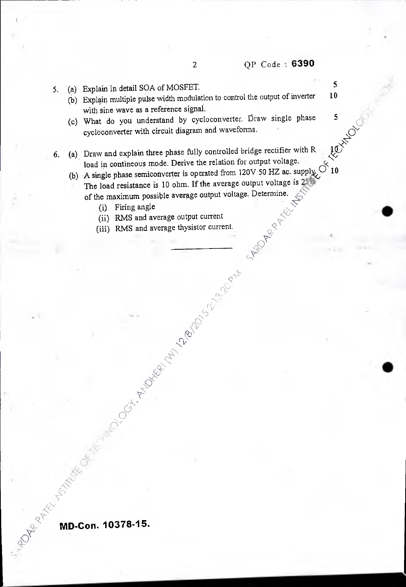- P-**%** *Q*  5742

- 5. (a) Explain in detail SOA of MOSFET.<br>5. (a) Explain pultiple pulse width modulation to control the output of inverter 10
	- (b) Explain multiple pulse width modulation to control the output of inverter with sine wave as a reference signal. text Or
	- (c) What do you understand by cycloconverter. Draw single phase cycloconverter with circuit diagram and waveforms.
- 6. (a) Draw and explain three phase fully controlled bridge rectifier with R load in contineous mode. Derive the relation for output voltage.  $\aleph$ 
	- (b) A single phase semiconverter is operated from 120V 50 HZ ac. supply  $\sim 10$ The load resistance is 10 ohm. If the average output voltage is 2 of the maximum possible average output voltage. Determine.
		- (i) Firing angle  $\bigwedge^{\bigwedge^{\bullet}}$
		- (ii) RMS and average output current
		- (iii) RMS and average thysistor current,

**NOCH MANUSCRIPTION AND SOLUTION ROOM** 

*• AN) rk>*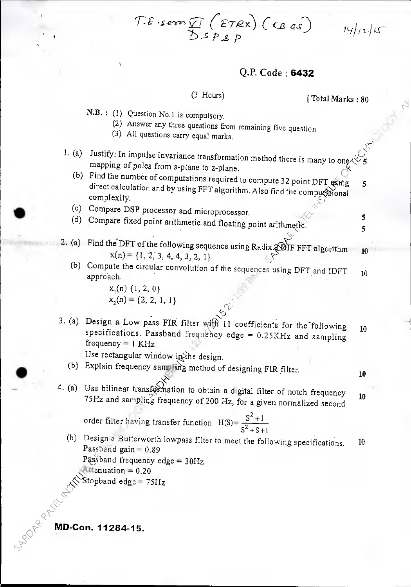*E* · sern  $\bigcup_{X}$  (*ETRX*) *(CB as*) *P* 

### Q.P. Code: **6432**

## (3 Hours) [Total Marks : 80

 $14/12/15$ 

10

N.B. : (1) Question No.1 is compulsory.

- (2) Answer any three questions from remaining five question.
- (3) All questions carry equal marks.
- 1. (a) Justify: In impulse invariance transformation method there is many to one  $\ll 5$ mapping of poles from s-plane to z-plane.<br>(b) Find the number of computations required to compute 32 point DFT  $\frac{1}{\sqrt{2}}$ , 5
	- direct calculation and by using FFT algorithm. Also find the computational complexity.
	- (c) Compare DSP processor and microprocessor.
	- (d) Compare fixed point arithmetic and floating point arithmetic.  $\frac{5}{5}$
- 2. (a) Find the DFT of the following sequence using Radix  $\mathcal{D}$ IF FFT algorithm  $x(n) = \{1, 2, 3, 4, 4, 3, 2, 1\}$ 
	- (b) Compute the circular convolution of the sequences using  $DFT$  and IDFT 10 approach.

 $x_i(n)$  {1, 2, 0}  $x_2(n) = \{2, 2, 1, 1\}$ 

3. (a) Design a Low pass FIR filter with 11 coefficients for the following  $10$ specifications. Passband frequency edge = 0.25KHz and sampling  $frequency = 1$  KHz

Use rectangular window in the design.

- (b) Explain frequency sampling method of designing FIR filter.
- $\breve{\gamma}$ 4. (a) Use bilinear transformation to obtain a digital filter of notch frequency  $10^{75}$  75Hz and sampling frequency of 200 Hz, for a given normalized second

order filter having transfer function  $H(S) = \frac{S^2 + 1}{S^2 + S^2}$  $s^2 + s + 1$ 

(b) Design a Butterworth lowpass filter to meet the following specifications. Passband gain = 0.89 Passband frequency edge = 30Hz 4ttenuation = 0.20 10

Stopband edge =  $75\rm{Hz}$ 

**<sup>&</sup>lt;a-- MD-Con. 11284-15.** 

 $z_{\rm p}$ 

 $\leq$ 

C P

**ORX**